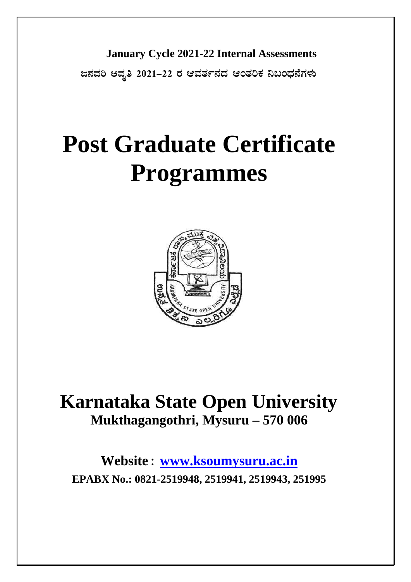**January Cycle 2021-22 Internal Assessments**

**d£ÀªÀj DªÀÈw 2021-22 gÀ DªÀvÀð£ÀzÀ DAvÀjPÀ ¤§AzsÀ£ÉUÀ¼ÀÄ**

# **Post Graduate Certificate Programmes**



# **Karnataka State Open University Mukthagangothri, Mysuru – 570 006**

**Website : [www.ksoumysuru.ac.in](http://www.ksoumysuru.ac.in/) EPABX No.: 0821-2519948, 2519941, 2519943, 251995**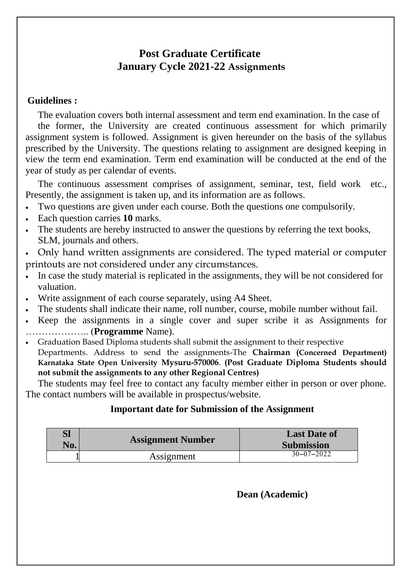# **Post Graduate Certificate January Cycle 2021-22 Assignments**

# **Guidelines :**

The evaluation covers both internal assessment and term end examination. In the case of the former, the University are created continuous assessment for which primarily assignment system is followed. Assignment is given hereunder on the basis of the syllabus prescribed by the University. The questions relating to assignment are designed keeping in view the term end examination. Term end examination will be conducted at the end of the year of study as per calendar of events.

The continuous assessment comprises of assignment, seminar, test, field work etc., Presently, the assignment is taken up, and its information are as follows.

- Two questions are given under each course. Both the questions one compulsorily.
- Each question carries **10** marks.
- The students are hereby instructed to answer the questions by referring the text books, SLM, journals and others.
- Only hand written assignments are considered. The typed material or computer printouts are not considered under any circumstances.
- In case the study material is replicated in the assignments, they will be not considered for valuation.
- Write assignment of each course separately, using A4 Sheet.
- The students shall indicate their name, roll number, course, mobile number without fail.
- Keep the assignments in a single cover and super scribe it as Assignments for ……………….. (**Programme** Name).
- Graduation Based Diploma students shall submit the assignment to their respective Departments. Address to send the assignments-The **Chairman (Concerned Department) Karnataka State Open University Mysuru-570006**. **(Post Graduate Diploma Students should not submit the assignments to any other Regional Centres)**

The students may feel free to contact any faculty member either in person or over phone. The contact numbers will be available in prospectus/website.

# **Important date for Submission of the Assignment**

| Sl<br>No. | <b>Assignment Number</b> | <b>Last Date of</b><br><b>Submission</b> |
|-----------|--------------------------|------------------------------------------|
|           | Assignment               | $30 - 07 - 2022$                         |

**Dean (Academic)**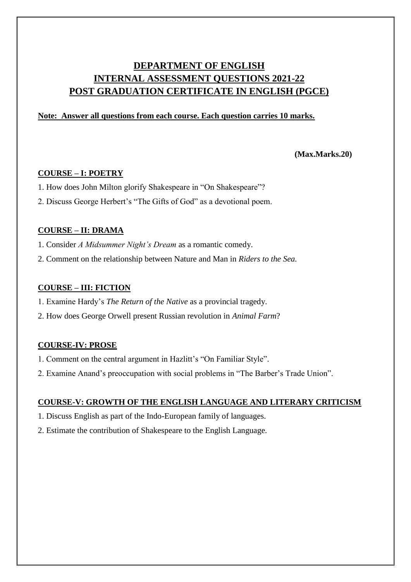# **DEPARTMENT OF ENGLISH INTERNAL ASSESSMENT QUESTIONS 2021-22 POST GRADUATION CERTIFICATE IN ENGLISH (PGCE)**

### **Note: Answer all questions from each course. Each question carries 10 marks.**

### **(Max.Marks.20)**

### **COURSE – I: POETRY**

- 1. How does John Milton glorify Shakespeare in "On Shakespeare"?
- 2. Discuss George Herbert's "The Gifts of God" as a devotional poem.

### **COURSE – II: DRAMA**

- 1. Consider *A Midsummer Night's Dream* as a romantic comedy.
- 2. Comment on the relationship between Nature and Man in *Riders to the Sea.*

### **COURSE – III: FICTION**

- 1. Examine Hardy's *The Return of the Native* as a provincial tragedy.
- 2. How does George Orwell present Russian revolution in *Animal Farm*?

### **COURSE-IV: PROSE**

- 1. Comment on the central argument in Hazlitt's "On Familiar Style".
- 2. Examine Anand's preoccupation with social problems in "The Barber's Trade Union".

### **COURSE-V: GROWTH OF THE ENGLISH LANGUAGE AND LITERARY CRITICISM**

- 1. Discuss English as part of the Indo-European family of languages.
- 2. Estimate the contribution of Shakespeare to the English Language.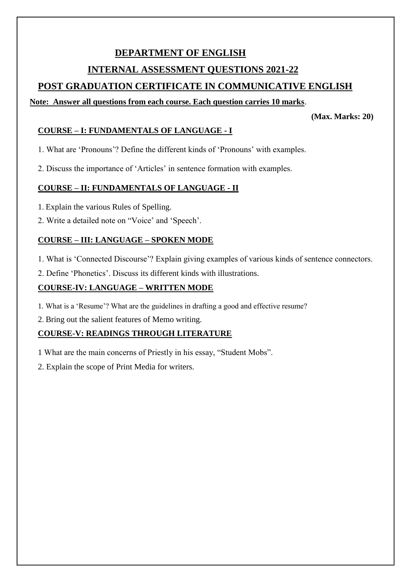# **DEPARTMENT OF ENGLISH INTERNAL ASSESSMENT QUESTIONS 2021-22**

# **POST GRADUATION CERTIFICATE IN COMMUNICATIVE ENGLISH**

# **Note: Answer all questions from each course. Each question carries 10 marks**.

**(Max. Marks: 20)**

# **COURSE – I: FUNDAMENTALS OF LANGUAGE - I**

1. What are 'Pronouns'? Define the different kinds of 'Pronouns' with examples.

2. Discuss the importance of 'Articles' in sentence formation with examples.

# **COURSE – II: FUNDAMENTALS OF LANGUAGE - II**

- 1. Explain the various Rules of Spelling.
- 2. Write a detailed note on "Voice' and 'Speech'.

# **COURSE – III: LANGUAGE – SPOKEN MODE**

1. What is 'Connected Discourse'? Explain giving examples of various kinds of sentence connectors.

2. Define 'Phonetics'. Discuss its different kinds with illustrations.

# **COURSE-IV: LANGUAGE – WRITTEN MODE**

1. What is a 'Resume'? What are the guidelines in drafting a good and effective resume?

2. Bring out the salient features of Memo writing.

# **COURSE-V: READINGS THROUGH LITERATURE**

- 1 What are the main concerns of Priestly in his essay, "Student Mobs".
- 2. Explain the scope of Print Media for writers.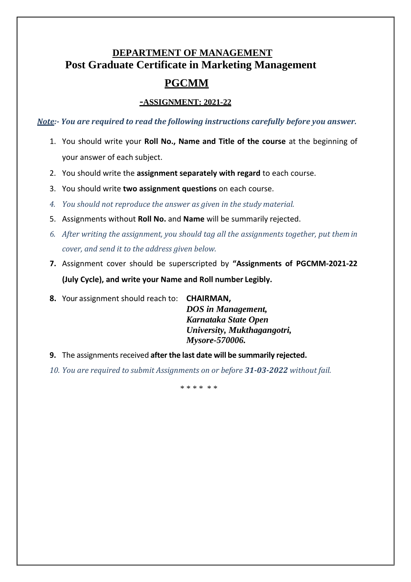# **DEPARTMENT OF MANAGEMENT Post Graduate Certificate in Marketing Management**

# **PGCMM**

### **-ASSIGNMENT: 2021-22**

*Note:- You are required to read the following instructions carefully before you answer.*

- 1. You should write your **Roll No., Name and Title of the course** at the beginning of your answer of each subject.
- 2. You should write the **assignment separately with regard** to each course.
- 3. You should write **two assignment questions** on each course.
- *4. You should not reproduce the answer as given in the study material.*
- 5. Assignments without **Roll No.** and **Name** will be summarily rejected.
- *6. After writing the assignment, you should tag all the assignments together, put themin cover, and send it to the address given below.*
- **7.** Assignment cover should be superscripted by **"Assignments of PGCMM-2021-22 (July Cycle), and write your Name and Roll number Legibly.**
- **8.** Your assignment should reach to: **CHAIRMAN,**

*DOS in Management, Karnataka State Open University, Mukthagangotri, Mysore-570006.*

- **9.** The assignments received after the last date will be summarily rejected.
- *10. You are required to submit Assignments on or before 31-03-2022 without fail.*

\* \* \* \* \* \*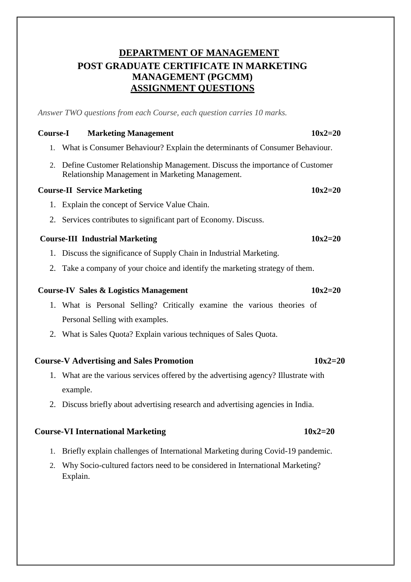# **DEPARTMENT OF MANAGEMENT POST GRADUATE CERTIFICATE IN MARKETING MANAGEMENT (PGCMM) ASSIGNMENT QUESTIONS**

*Answer TWO questions from each Course, each question carries 10 marks.*

### **Course-I Marketing Management 10x2=20**

- 1. What is Consumer Behaviour? Explain the determinants of Consumer Behaviour.
- 2. Define Customer Relationship Management. Discuss the importance of Customer Relationship Management in Marketing Management.

### **Course-II Service Marketing 10x2=20**

- 1. Explain the concept of Service Value Chain.
- 2. Services contributes to significant part of Economy. Discuss.

### **Course-III Industrial Marketing 10x2=20**

- 1. Discuss the significance of Supply Chain in Industrial Marketing.
- 2. Take a company of your choice and identify the marketing strategy of them.

### **Course-IV Sales & Logistics Management 10x2=20**

- 1. What is Personal Selling? Critically examine the various theories of Personal Selling with examples.
- 2. What is Sales Quota? Explain various techniques of Sales Quota.

### **Course-V Advertising and Sales Promotion 10x2=20**

- 1. What are the various services offered by the advertising agency? Illustrate with example.
- 2. Discuss briefly about advertising research and advertising agencies in India.

### **Course-VI International Marketing 10x2=20**

- 1. Briefly explain challenges of International Marketing during Covid-19 pandemic.
- 2. Why Socio-cultured factors need to be considered in International Marketing? Explain.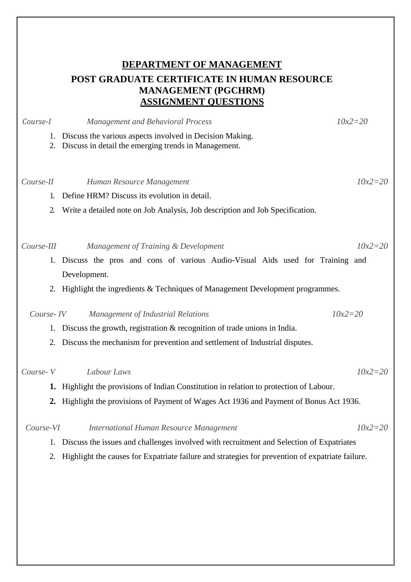# **DEPARTMENT OF MANAGEMENT POST GRADUATE CERTIFICATE IN HUMAN RESOURCE MANAGEMENT (PGCHRM) ASSIGNMENT QUESTIONS**

| Course-I       | <b>Management and Behavioral Process</b>                                                                         | $10x2 = 20$ |
|----------------|------------------------------------------------------------------------------------------------------------------|-------------|
| 1.<br>2.       | Discuss the various aspects involved in Decision Making.<br>Discuss in detail the emerging trends in Management. |             |
| Course-II      | Human Resource Management                                                                                        | $10x2 = 20$ |
| 1.             | Define HRM? Discuss its evolution in detail.                                                                     |             |
| $\overline{2}$ | Write a detailed note on Job Analysis, Job description and Job Specification.                                    |             |
| Course-III     | Management of Training & Development                                                                             | $10x2 = 20$ |
| 1.             | Discuss the pros and cons of various Audio-Visual Aids used for Training and<br>Development.                     |             |
|                | 2. Highlight the ingredients & Techniques of Management Development programmes.                                  |             |
| Course-IV      | <b>Management of Industrial Relations</b>                                                                        | $10x2 = 20$ |
| 1.             | Discuss the growth, registration $\&$ recognition of trade unions in India.                                      |             |
| 2.             | Discuss the mechanism for prevention and settlement of Industrial disputes.                                      |             |
| Course-V       | Labour Laws                                                                                                      | $10x2 = 20$ |
|                | 1. Highlight the provisions of Indian Constitution in relation to protection of Labour.                          |             |
|                | 2. Highlight the provisions of Payment of Wages Act 1936 and Payment of Bonus Act 1936.                          |             |
| Course-VI      | <b>International Human Resource Management</b>                                                                   | $10x2 = 20$ |
| 1.             | Discuss the issues and challenges involved with recruitment and Selection of Expatriates                         |             |
| 2.             | Highlight the causes for Expatriate failure and strategies for prevention of expatriate failure.                 |             |
|                |                                                                                                                  |             |
|                |                                                                                                                  |             |
|                |                                                                                                                  |             |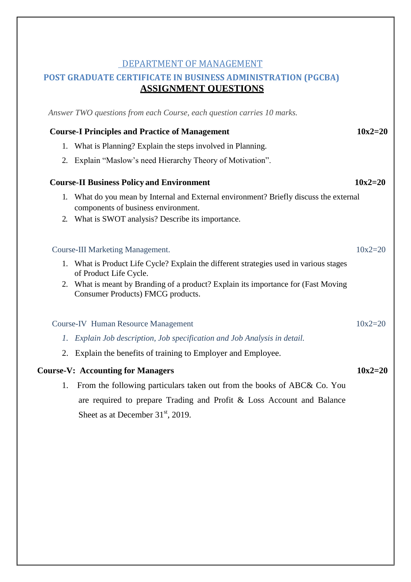# DEPARTMENT OF MANAGEMENT

# **POST GRADUATE CERTIFICATE IN BUSINESS ADMINISTRATION (PGCBA) ASSIGNMENT QUESTIONS**

*Answer TWO questions from each Course, each question carries 10 marks.*

|    | <b>Course-I Principles and Practice of Management</b>                                                                         | $10x2 = 20$ |
|----|-------------------------------------------------------------------------------------------------------------------------------|-------------|
| 1. | What is Planning? Explain the steps involved in Planning.                                                                     |             |
| 2. | Explain "Maslow's need Hierarchy Theory of Motivation".                                                                       |             |
|    | <b>Course-II Business Policy and Environment</b>                                                                              | $10x2 = 20$ |
|    | 1. What do you mean by Internal and External environment? Briefly discuss the external<br>components of business environment. |             |
|    | 2. What is SWOT analysis? Describe its importance.                                                                            |             |
|    | <b>Course-III Marketing Management.</b>                                                                                       | $10x2 = 20$ |
|    | 1. What is Product Life Cycle? Explain the different strategies used in various stages<br>of Product Life Cycle.              |             |
| 2. | What is meant by Branding of a product? Explain its importance for (Fast Moving<br>Consumer Products) FMCG products.          |             |
|    | <b>Course-IV Human Resource Management</b>                                                                                    | $10x2 = 20$ |
|    | 1. Explain Job description, Job specification and Job Analysis in detail.                                                     |             |
|    | 2. Explain the benefits of training to Employer and Employee.                                                                 |             |
|    | <b>Course-V: Accounting for Managers</b>                                                                                      | $10x2 = 20$ |
| 1. | From the following particulars taken out from the books of ABC& Co. You                                                       |             |
|    | are required to prepare Trading and Profit & Loss Account and Balance                                                         |             |
|    | Sheet as at December $31st$ , 2019.                                                                                           |             |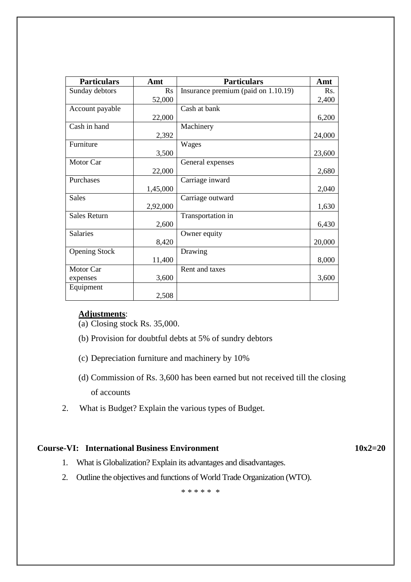| <b>Particulars</b>   | Amt      | <b>Particulars</b>                  | Amt    |
|----------------------|----------|-------------------------------------|--------|
| Sunday debtors       | Rs       | Insurance premium (paid on 1.10.19) | Rs.    |
|                      | 52,000   |                                     | 2,400  |
| Account payable      |          | Cash at bank                        |        |
|                      | 22,000   |                                     | 6,200  |
| Cash in hand         |          | Machinery                           |        |
|                      | 2,392    |                                     | 24,000 |
| Furniture            |          | Wages                               |        |
|                      | 3,500    |                                     | 23,600 |
| Motor Car            |          | General expenses                    |        |
|                      | 22,000   |                                     | 2,680  |
| Purchases            |          | Carriage inward                     |        |
|                      | 1,45,000 |                                     | 2,040  |
| <b>Sales</b>         |          | Carriage outward                    |        |
|                      | 2,92,000 |                                     | 1,630  |
| <b>Sales Return</b>  |          | Transportation in                   |        |
|                      | 2,600    |                                     | 6,430  |
| Salaries             |          | Owner equity                        |        |
|                      | 8,420    |                                     | 20,000 |
| <b>Opening Stock</b> |          | Drawing                             |        |
|                      | 11,400   |                                     | 8,000  |
| Motor Car            |          | Rent and taxes                      |        |
| expenses             | 3,600    |                                     | 3,600  |
| Equipment            |          |                                     |        |
|                      | 2,508    |                                     |        |

# **Adjustments**:

(a) Closing stock Rs. 35,000.

- (b) Provision for doubtful debts at 5% of sundry debtors
- (c) Depreciation furniture and machinery by 10%
- (d) Commission of Rs. 3,600 has been earned but not received till the closing of accounts
- 2. What is Budget? Explain the various types of Budget.

### **Course-VI: International Business Environment 10x2=20**

- 1. What is Globalization? Explain its advantages and disadvantages.
- 2. Outline the objectives and functions of World Trade Organization (WTO).

\* \* \* \* \* \*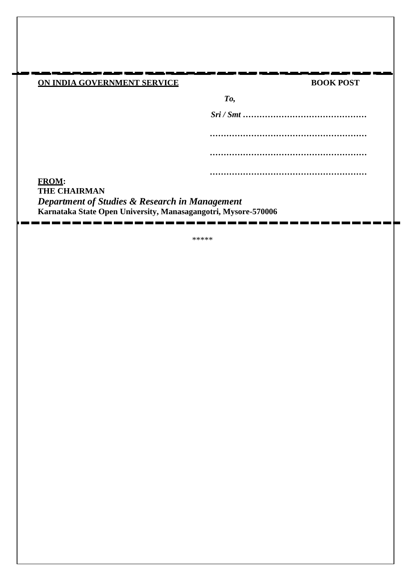# **ON INDIA GOVERNMENT SERVICE BOOK POST**

| To, |   |
|-----|---|
|     |   |
|     |   |
|     |   |
|     |   |
|     |   |
|     | . |
|     |   |

**FROM: THE CHAIRMAN** *Department of Studies & Research in Management* **Karnataka State Open University, Manasagangotri, Mysore-570006**

\*\*\*\*\*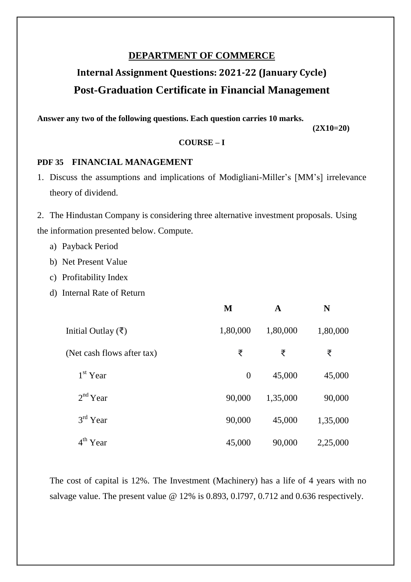# **DEPARTMENT OF COMMERCE**

# **Internal Assignment Questions: 2021-22 (January Cycle) Post-Graduation Certificate in Financial Management**

**Answer any two of the following questions. Each question carries 10 marks.**

 **(2X10=20)** 

### **COURSE – I**

### **PDF 35 FINANCIAL MANAGEMENT**

1. Discuss the assumptions and implications of Modigliani-Miller's [MM's] irrelevance theory of dividend.

2. The Hindustan Company is considering three alternative investment proposals. Using the information presented below. Compute.

- a) Payback Period
- b) Net Present Value
- c) Profitability Index
- d) Internal Rate of Return

|                              | M        | $\mathbf A$ | N        |
|------------------------------|----------|-------------|----------|
| Initial Outlay $(\bar{\xi})$ | 1,80,000 | 1,80,000    | 1,80,000 |
| (Net cash flows after tax)   | ₹        | ₹           | ₹        |
| $1st$ Year                   | $\theta$ | 45,000      | 45,000   |
| 2 <sup>nd</sup> Year         | 90,000   | 1,35,000    | 90,000   |
| $3rd$ Year                   | 90,000   | 45,000      | 1,35,000 |
| $4th$ Year                   | 45,000   | 90,000      | 2,25,000 |

The cost of capital is 12%. The Investment (Machinery) has a life of 4 years with no salvage value. The present value @ 12% is 0.893, 0.1797, 0.712 and 0.636 respectively.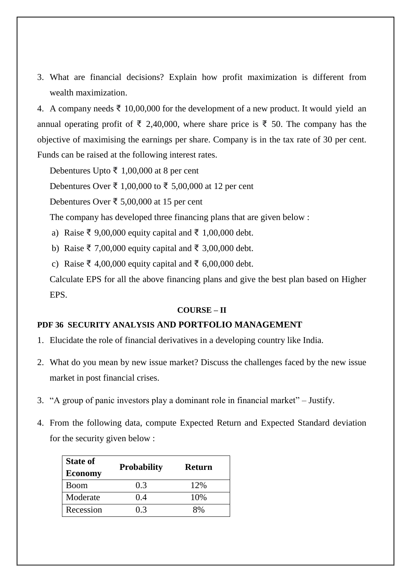3. What are financial decisions? Explain how profit maximization is different from wealth maximization.

4. A company needs ₹ 10,00,000 for the development of a new product. It would yield an annual operating profit of ₹ 2,40,000, where share price is ₹ 50. The company has the objective of maximising the earnings per share. Company is in the tax rate of 30 per cent. Funds can be raised at the following interest rates.

Debentures Upto ₹ 1,00,000 at 8 per cent

Debentures Over ₹ 1,00,000 to ₹ 5,00,000 at 12 per cent

Debentures Over ₹ 5,00,000 at 15 per cent

The company has developed three financing plans that are given below :

a) Raise ₹ 9,00,000 equity capital and ₹ 1,00,000 debt.

b) Raise ₹ 7,00,000 equity capital and ₹ 3,00,000 debt.

c) Raise ₹ 4,00,000 equity capital and ₹ 6,00,000 debt.

Calculate EPS for all the above financing plans and give the best plan based on Higher EPS.

### **COURSE – II**

### **PDF 36 SECURITY ANALYSIS AND PORTFOLIO MANAGEMENT**

- 1. Elucidate the role of financial derivatives in a developing country like India.
- 2. What do you mean by new issue market? Discuss the challenges faced by the new issue market in post financial crises.
- 3. "A group of panic investors play a dominant role in financial market" Justify.
- 4. From the following data, compute Expected Return and Expected Standard deviation for the security given below :

| <b>State of</b> | <b>Probability</b> | <b>Return</b> |
|-----------------|--------------------|---------------|
| <b>Economy</b>  |                    |               |
| Boom            | 0.3                | 12%           |
| Moderate        | 0.4                | 10%           |
| Recession       | 03                 | 8%            |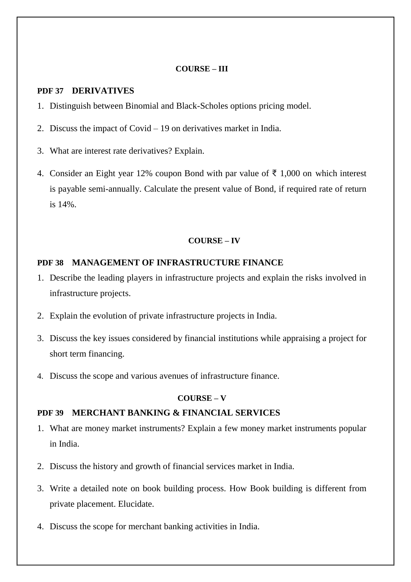### **COURSE – III**

### **PDF 37 DERIVATIVES**

- 1. Distinguish between Binomial and Black-Scholes options pricing model.
- 2. Discuss the impact of Covid 19 on derivatives market in India.
- 3. What are interest rate derivatives? Explain.
- 4. Consider an Eight year 12% coupon Bond with par value of ₹ 1,000 on which interest is payable semi-annually. Calculate the present value of Bond, if required rate of return is 14%.

### **COURSE – IV**

### **PDF 38 MANAGEMENT OF INFRASTRUCTURE FINANCE**

- 1. Describe the leading players in infrastructure projects and explain the risks involved in infrastructure projects.
- 2. Explain the evolution of private infrastructure projects in India.
- 3. Discuss the key issues considered by financial institutions while appraising a project for short term financing.
- 4. Discuss the scope and various avenues of infrastructure finance.

### **COURSE – V**

### **PDF 39 MERCHANT BANKING & FINANCIAL SERVICES**

- 1. What are money market instruments? Explain a few money market instruments popular in India.
- 2. Discuss the history and growth of financial services market in India.
- 3. Write a detailed note on book building process. How Book building is different from private placement. Elucidate.
- 4. Discuss the scope for merchant banking activities in India.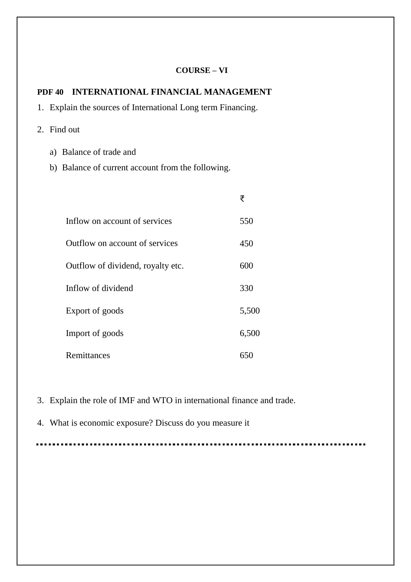### **COURSE – VI**

### **PDF 40 INTERNATIONAL FINANCIAL MANAGEMENT**

- 1. Explain the sources of International Long term Financing.
- 2. Find out
	- a) Balance of trade and
	- b) Balance of current account from the following.

|                                   | ₹     |
|-----------------------------------|-------|
| Inflow on account of services     | 550   |
| Outflow on account of services    | 450   |
| Outflow of dividend, royalty etc. | 600   |
| Inflow of dividend                | 330   |
| Export of goods                   | 5,500 |
| Import of goods                   | 6,500 |
| Remittances                       | 650   |

3. Explain the role of IMF and WTO in international finance and trade.

4. What is economic exposure? Discuss do you measure it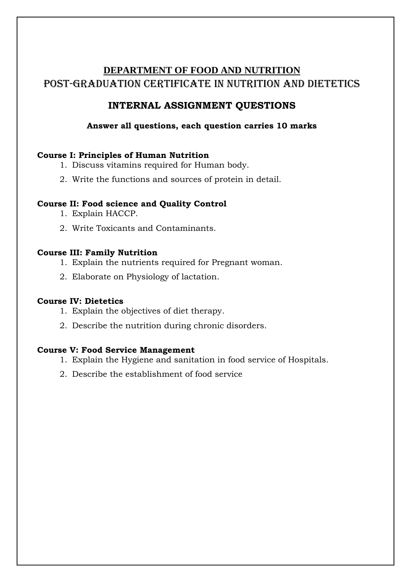# **DEPARTMENT OF FOOD AND NUTRITION** Post-GRADUATION CERTIFICATE IN NUTRITION AND DIETETICS

# **INTERNAL ASSIGNMENT QUESTIONS**

# **Answer all questions, each question carries 10 marks**

### **Course I: Principles of Human Nutrition**

- 1. Discuss vitamins required for Human body.
- 2. Write the functions and sources of protein in detail.

### **Course II: Food science and Quality Control**

- 1. Explain HACCP.
- 2. Write Toxicants and Contaminants.

### **Course III: Family Nutrition**

- 1. Explain the nutrients required for Pregnant woman.
- 2. Elaborate on Physiology of lactation.

### **Course IV: Dietetics**

- 1. Explain the objectives of diet therapy.
- 2. Describe the nutrition during chronic disorders.

### **Course V: Food Service Management**

- 1. Explain the Hygiene and sanitation in food service of Hospitals.
- 2. Describe the establishment of food service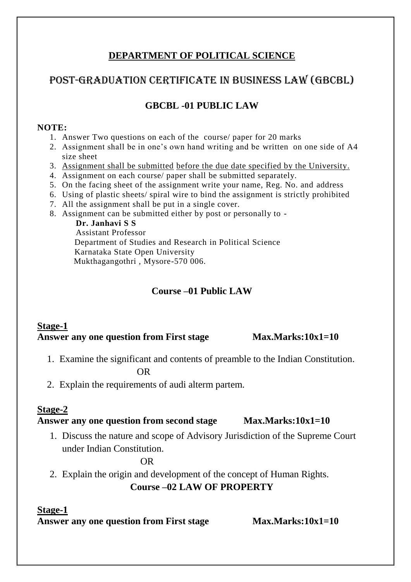# **DEPARTMENT OF POLITICAL SCIENCE**

# Post-GRADUATION CERTIFICATE in Business Law (GBCBL)

# **GBCBL -01 PUBLIC LAW**

### **NOTE:**

- 1. Answer Two questions on each of the course/ paper for 20 marks
- 2. Assignment shall be in one's own hand writing and be written on one side of A4 size sheet
- 3. Assignment shall be submitted before the due date specified by the University.
- 4. Assignment on each course/ paper shall be submitted separately.
- 5. On the facing sheet of the assignment write your name, Reg. No. and address
- 6. Using of plastic sheets/ spiral wire to bind the assignment is strictly prohibited
- 7. All the assignment shall be put in a single cover.
- 8. Assignment can be submitted either by post or personally to -

 **Dr. Janhavi S S** Assistant Professor Department of Studies and Research in Political Science Karnataka State Open University Mukthagangothri , Mysore-570 006.

# **Course –01 Public LAW**

# **Stage-1**  Answer any one question from First stage Max.Marks:10x1=10

1. Examine the significant and contents of preamble to the Indian Constitution.

OR

2. Explain the requirements of audi alterm partem.

# **Stage-2**

# **Answer any one question from second stage Max.Marks:10x1=10**

1. Discuss the nature and scope of Advisory Jurisdiction of the Supreme Court under Indian Constitution.

OR

2. Explain the origin and development of the concept of Human Rights.

# **Course –02 LAW OF PROPERTY**

### **Stage-1**

**Answer any one question from First stage Max.Marks:10x1=10**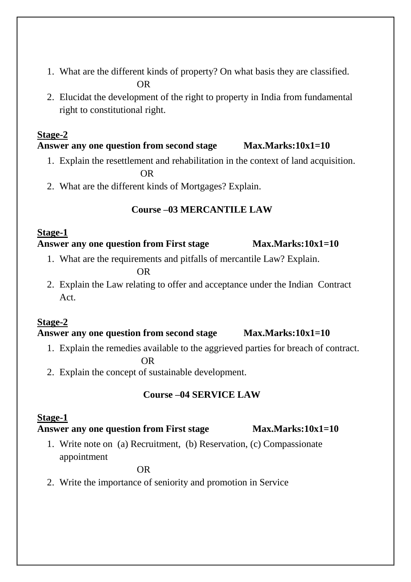- 1. What are the different kinds of property? On what basis they are classified. OR
- 2. Elucidat the development of the right to property in India from fundamental right to constitutional right.

# **Stage-2**

# **Answer any one question from second stage Max.Marks:10x1=10**

- 1. Explain the resettlement and rehabilitation in the context of land acquisition. OR
- 2. What are the different kinds of Mortgages? Explain.

# **Course –03 MERCANTILE LAW**

### **Stage-1 Answer any one question from First stage Max.Marks:10x1=10**

1. What are the requirements and pitfalls of mercantile Law? Explain.

OR

2. Explain the Law relating to offer and acceptance under the Indian Contract Act.

# **Stage-2**

# **Answer any one question from second stage Max.Marks:10x1=10**

1. Explain the remedies available to the aggrieved parties for breach of contract.

**OR** OF THE STATE OF THE STATE OF THE STATE OF THE STATE OF THE STATE OF THE STATE OF THE STATE OF THE STATE OF THE STATE OF THE STATE OF THE STATE OF THE STATE OF THE STATE OF THE STATE OF THE STATE OF THE STATE OF THE ST

2. Explain the concept of sustainable development.

# **Course –04 SERVICE LAW**

# **Stage-1**

# **Answer any one question from First stage Max.Marks:10x1=10**

1. Write note on (a) Recruitment, (b) Reservation, (c) Compassionate appointment

OR

2. Write the importance of seniority and promotion in Service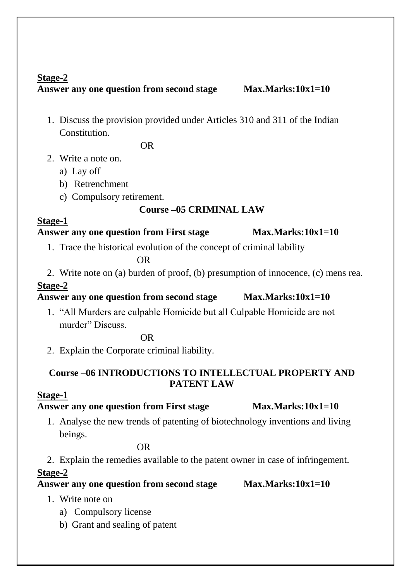# **Stage-2**

# **Answer any one question from second stage Max.Marks:10x1=10**

1. Discuss the provision provided under Articles 310 and 311 of the Indian Constitution.

OR

- 2. Write a note on.
	- a) Lay off
	- b) Retrenchment
	- c) Compulsory retirement.

# **Course –05 CRIMINAL LAW**

# **Stage-1**

# **Answer any one question from First stage Max.Marks:10x1=10**

1. Trace the historical evolution of the concept of criminal lability

OR

2. Write note on (a) burden of proof, (b) presumption of innocence, (c) mens rea.

# **Stage-2**

# **Answer any one question from second stage Max.Marks:10x1=10**

1. "All Murders are culpable Homicide but all Culpable Homicide are not murder" Discuss.

OR

2. Explain the Corporate criminal liability.

# **Course –06 INTRODUCTIONS TO INTELLECTUAL PROPERTY AND PATENT LAW**

# **Stage-1**

# Answer any one question from First stage Max.Marks:10x1=10

1. Analyse the new trends of patenting of biotechnology inventions and living beings.

OR

2. Explain the remedies available to the patent owner in case of infringement.

# **Stage-2**

**Answer any one question from second stage Max.Marks:10x1=10** 

- 1. Write note on
	- a) Compulsory license
	- b) Grant and sealing of patent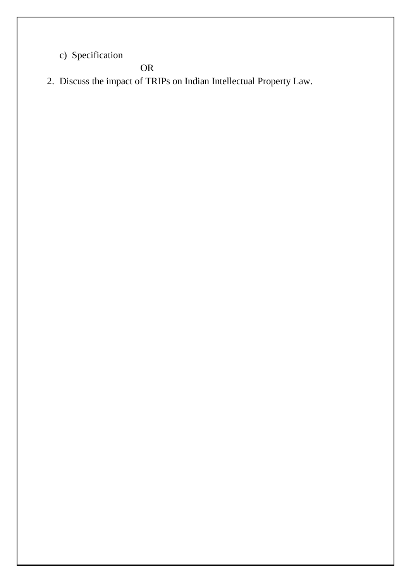c) Specification

OR

2. Discuss the impact of TRIPs on Indian Intellectual Property Law.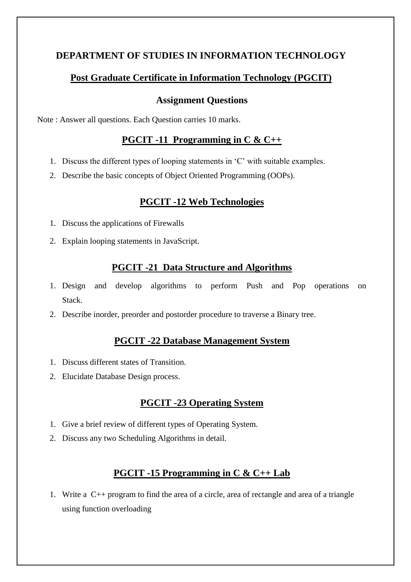# **DEPARTMENT OF STUDIES IN INFORMATION TECHNOLOGY**

# **Post Graduate Certificate in Information Technology (PGCIT)**

# **Assignment Questions**

Note : Answer all questions. Each Question carries 10 marks.

# **PGCIT -11 Programming in C & C++**

- 1. Discuss the different types of looping statements in 'C' with suitable examples.
- 2. Describe the basic concepts of Object Oriented Programming (OOPs).

# **PGCIT -12 Web Technologies**

- 1. Discuss the applications of Firewalls
- 2. Explain looping statements in JavaScript.

# **PGCIT -21 Data Structure and Algorithms**

- 1. Design and develop algorithms to perform Push and Pop operations on Stack.
- 2. Describe inorder, preorder and postorder procedure to traverse a Binary tree.

# **PGCIT -22 Database Management System**

- 1. Discuss different states of Transition.
- 2. Elucidate Database Design process.

# **PGCIT -23 Operating System**

- 1. Give a brief review of different types of Operating System.
- 2. Discuss any two Scheduling Algorithms in detail.

# **PGCIT -15 Programming in C & C++ Lab**

1. Write a C++ program to find the area of a circle, area of rectangle and area of a triangle using function overloading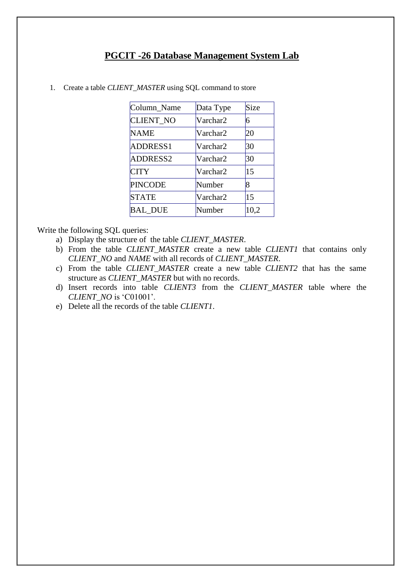### **PGCIT -26 Database Management System Lab**

| Column Name      | Data Type | Size |
|------------------|-----------|------|
| <b>CLIENT NO</b> | Varchar2  | 6    |
| <b>NAME</b>      | Varchar2  | 20   |
| <b>ADDRESS1</b>  | Varchar2  | 30   |
| <b>ADDRESS2</b>  | Varchar2  | 30   |
| <b>CITY</b>      | Varchar2  | 15   |
| <b>PINCODE</b>   | Number    | 8    |
| <b>STATE</b>     | Varchar2  | 15   |
| <b>BAL_DUE</b>   | Number    | 10,2 |

1. Create a table *CLIENT\_MASTER* using SQL command to store

Write the following SQL queries:

- a) Display the structure of the table *CLIENT\_MASTER*.
- b) From the table *CLIENT\_MASTER* create a new table *CLIENT1* that contains only *CLIENT\_NO* and *NAME* with all records of *CLIENT\_MASTER*.
- c) From the table *CLIENT\_MASTER* create a new table *CLIENT2* that has the same structure as *CLIENT\_MASTER* but with no records.
- d) Insert records into table *CLIENT3* from the *CLIENT\_MASTER* table where the *CLIENT\_NO* is 'C01001'.
- e) Delete all the records of the table *CLIENT1*.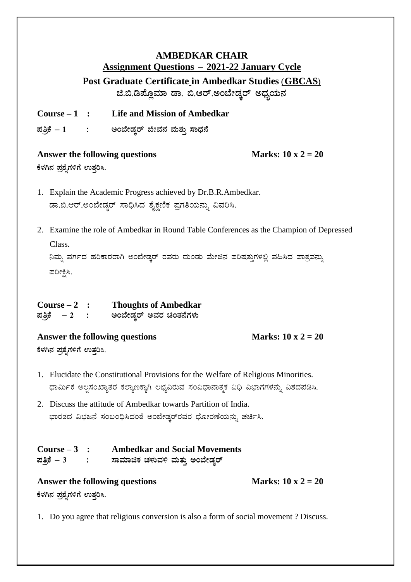# **AMBEDKAR CHAIR Assignment Questions – 2021-22 January Cycle Post Graduate Certificate in Ambedkar Studies (GBCAS) f.©.r¥ÉÆèªÀiÁ qÁ. ©.Dgï.CA¨ÉÃqÀÌgï CzsÀåAiÀÄ£À**

**Course – 1 : Life and Mission of Ambedkar ¥ÀwæPÉ – 1 : CA¨ÉÃqÀÌgï fêÀ£À ªÀÄvÀÄÛ ¸ÁzsÀ£É**

### Answer the following questions Marks:  $10 \times 2 = 20$

 $\frac{2}{3}$ ಳಗಿನ ಪ್ರಶೈಗಳಿಗೆ ಉತ್ತರಿಸಿ.

- 1. Explain the Academic Progress achieved by Dr.B.R.Ambedkar. ಡಾ.ಬಿ.ಆರ್.ಅಂಬೇಡ್ಕರ್ ಸಾಧಿಸಿದ ಶೈಕ್ಷಣಿಕ ಪ್ರಗತಿಯನ್ನು ವಿವರಿಸಿ.
- 2. Examine the role of Ambedkar in Round Table Conferences as the Champion of Depressed Class.

ನಿಮ್ಸ ವರ್ಗದ ಹರಿಕಾರರಾಗಿ ಅಂಬೇಡ್ಕರ್ ರವರು ದುಂಡು ಮೇಜಿನ ಪರಿಷತ್ತುಗಳಲ್ಲಿ ವಹಿಸಿದ ಪಾತ್ರವನ್ನು ಪರೀಕ್ಷಿಸಿ.

| $Course-2$         | <b>Thoughts of Ambedkar</b> |
|--------------------|-----------------------------|
| ಪತ್ರಿಕೆ <i>–</i> 2 | ಅಂಬೇಡ್ತರ್ ಅವರ ಚಿಂತನೆಗಳು     |

Answer the following questions Marks:  $10 \times 2 = 20$  $\mathfrak k$ ಳಗಿನ ಪ್ರಶೈಗಳಿಗೆ ಉತ್ತರಿಸಿ.

- 1. Elucidate the Constitutional Provisions for the Welfare of Religious Minorities. ಧಾರ್ಮಿಕ ಅಲ್ಪಸಂಖ್ಯಾತರ ಕಲ್ಯಾಣಕ್ಕಾಗಿ ಲಭ್ಯವಿರುವ ಸಂವಿಧಾನಾತ್ಮಕ ವಿಧಿ ವಿಭಾಗಗಳನ್ನು ವಿಶದಪಡಿಸಿ.
- 2. Discuss the attitude of Ambedkar towards Partition of India. ಭಾರತದ ವಿಭಜನೆ ಸಂಬಂಧಿಸಿದಂತೆ ಅಂಬೇಡ್ಕರ್ರವರ ಧೋರಣೆಯನ್ನು ಚರ್ಚಿಸಿ.

| Course $-3$ : | <b>Ambedkar and Social Movements</b> |
|---------------|--------------------------------------|
| ಪತ್ರಿಕೆ $-3$  | ಸಾಮಾಜಿಕ ಚಳುವಳಿ ಮತ್ತು ಅಂಬೇಡ್ತರ್       |

# Answer the following questions Marks:  $10 \times 2 = 20$  $\frac{2}{3}$ ಳಗಿನ ಪ್ರಶೈಗಳಿಗೆ ಉತ್ತರಿಸಿ.

1. Do you agree that religious conversion is also a form of social movement ? Discuss.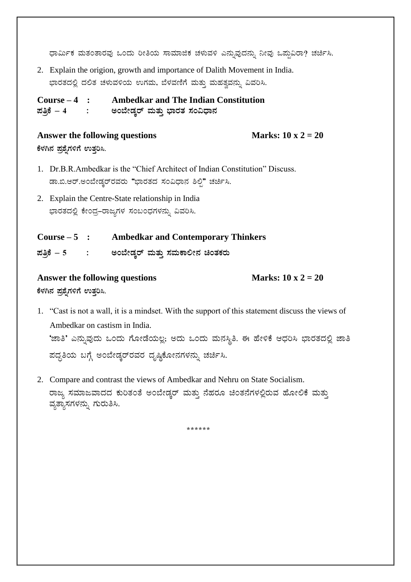ಧಾರ್ಮಿಕ ಮತಂತಾರವು ಒಂದು ರೀತಿಯ ಸಾಮಾಜಿಕ ಚಳುವಳಿ ಎನ್ನುವುದನ್ನು ನೀವು ಒಪ್ಪುವಿರಾ? ಚರ್ಚಿಸಿ.

2. Explain the origion, growth and importance of Dalith Movement in India. ಭಾರತದಲ್ಲಿ ದಲಿತ ಚಳುವಳಿಯ ಉಗಮ, ಬೆಳವಣಿಗೆ ಮತ್ತು ಮಹತ್ವವನ್ನು ವಿವರಿಸಿ.

**Course – 4 : Ambedkar and The Indian Constitution ¥ÀwæPÉ – 4 : CA¨ÉÃqÀÌgï ªÀÄvÀÄÛ ¨sÁgÀvÀ ¸ÀA«zsÁ£À**

### Answer the following questions Marks:  $10 \times 2 = 20$

 $\mathbf{F}$ ಳಗಿನ ಪ್ರಶೈಗಳಿಗೆ ಉತ್ತರಿಸಿ.

- 1. Dr.B.R.Ambedkar is the "Chief Architect of Indian Constitution" Discuss. ಡಾ.ಬಿ.ಆರ್.ಅಂಬೇಡ್ಕರ್ರವರು "ಭಾರತದ ಸಂವಿಧಾನ ಶಿಲ್ಪಿ" ಚರ್ಚಿಸಿ.
- 2. Explain the Centre-State relationship in India ಭಾರತದಲ್ಲಿ ಕೇಂದ್ರ–ರಾಜ್ಯಗಳ ಸಂಬಂಧಗಳನ್ನು ವಿವರಿಸಿ.

**Course – 5 : Ambedkar and Contemporary Thinkers**  $\vec{a}$ ಪತ್ರಿಕೆ – 5 : ಅಂಬೇಡ್ಕರ್ ಮತ್ತು ಸಮಕಾಲೀನ ಚಿಂತಕರು

# Answer the following questions Marks:  $10 \times 2 = 20$  $\frac{2}{3}$ ಳಗಿನ ಪ್ರಶೈಗಳಿಗೆ ಉತ್ತರಿಸಿ.

- 1. "Cast is not a wall, it is a mindset. With the support of this statement discuss the views of Ambedkar on castism in India. 'ಜಾತಿ' ಎನ್ನುವುದು ಒಂದು ಗೋಡೆಯಲ್ಲ; ಅದು ಒಂದು ಮನಸ್ಥಿತಿ. ಈ ಹೇಳಿಕೆ ಆಧರಿಸಿ ಭಾರತದಲ್ಲಿ ಜಾತಿ ಪದ್ಧತಿಯ ಬಗ್ಗೆ ಅಂಬೇಡ್ಕರ್ರವರ ದೃಷ್ಟಿಕೋನಗಳನ್ನು ಚರ್ಚಿಸಿ.
- 2. Compare and contrast the views of Ambedkar and Nehru on State Socialism. ರಾಜ್ಯ ಸಮಾಜವಾದದ ಕುರಿತಂತೆ ಅಂಬೇಡ್ಕರ್ ಮತ್ತು ನೆಹರೂ ಚಿಂತನೆಗಳಲ್ಲಿರುವ ಹೋಲಿಕೆ ಮತ್ತು ವ್ಯತ್ಯಾಸಗಳನ್ನು ಗುರುತಿಸಿ.

**\*\*\*\*\*\***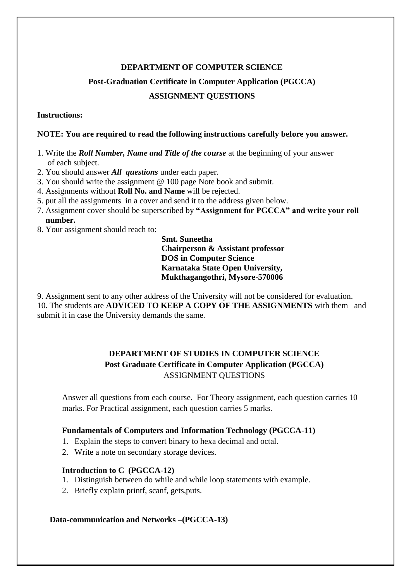### **DEPARTMENT OF COMPUTER SCIENCE**

# **Post-Graduation Certificate in Computer Application (PGCCA) ASSIGNMENT QUESTIONS**

### **Instructions:**

### **NOTE: You are required to read the following instructions carefully before you answer.**

- 1. Write the *Roll Number, Name and Title of the course* at the beginning of your answer of each subject.
- 2. You should answer *All questions* under each paper.
- 3. You should write the assignment @ 100 page Note book and submit.
- 4. Assignments without **Roll No. and Name** will be rejected.
- 5. put all the assignments in a cover and send it to the address given below.
- 7. Assignment cover should be superscribed by **"Assignment for PGCCA" and write your roll number.**
- 8. Your assignment should reach to:

 **Smt. Suneetha Chairperson & Assistant professor DOS in Computer Science Karnataka State Open University, Mukthagangothri, Mysore-570006**

9. Assignment sent to any other address of the University will not be considered for evaluation. 10. The students are **ADVICED TO KEEP A COPY OF THE ASSIGNMENTS** with them and submit it in case the University demands the same.

# **DEPARTMENT OF STUDIES IN COMPUTER SCIENCE Post Graduate Certificate in Computer Application (PGCCA)** ASSIGNMENT QUESTIONS

Answer all questions from each course. For Theory assignment, each question carries 10 marks. For Practical assignment, each question carries 5 marks.

### **Fundamentals of Computers and Information Technology (PGCCA-11)**

- 1. Explain the steps to convert binary to hexa decimal and octal.
- 2. Write a note on secondary storage devices.

### **Introduction to C (PGCCA-12)**

- 1. Distinguish between do while and while loop statements with example.
- 2. Briefly explain printf, scanf, gets,puts.

### **Data-communication and Networks –(PGCCA-13)**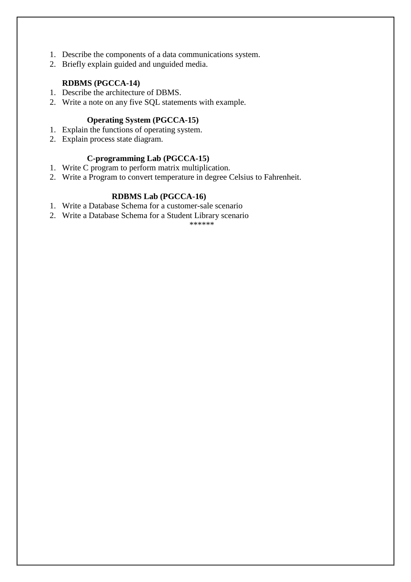- 1. Describe the components of a data communications system.
- 2. Briefly explain guided and unguided media.

### **RDBMS (PGCCA-14)**

- 1. Describe the architecture of DBMS.
- 2. Write a note on any five SQL statements with example.

### **Operating System (PGCCA-15)**

- 1. Explain the functions of operating system.
- 2. Explain process state diagram.

### **C-programming Lab (PGCCA-15)**

- 1. Write C program to perform matrix multiplication.
- 2. Write a Program to convert temperature in degree Celsius to Fahrenheit.

### **RDBMS Lab (PGCCA-16)**

- 1. Write a Database Schema for a customer-sale scenario
- 2. Write a Database Schema for a Student Library scenario

\*\*\*\*\*\*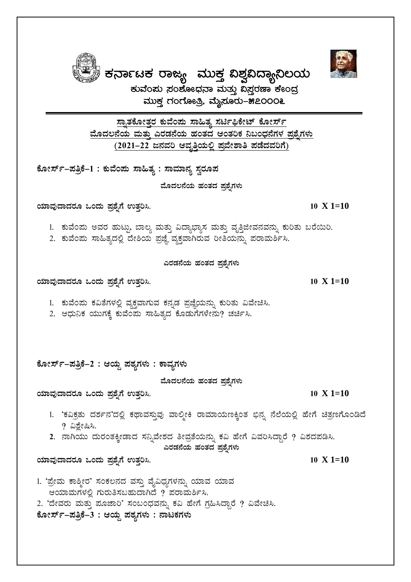<u>ಸ್ನಾತಕೋತ್ತರ ಕುವೆಂಪು ಸಾಹಿತ್ಯ ಸರ್ಟಿಫಿಕೇಟ್ ಕೋರ್ಸ್</u> <u>ಮೊದಲನೆಯ ಮತ್ತು ಎರಡನೆಯ ಹಂತದ ಆಂತರಿಕ ನಿಬಂಧನೆಗಳ ಪ್ರಶ್ನೆಗಳು</u> <u>(2021–22 ಜನವರಿ ಆವೃತ್ತಿಯಲ್ಲಿ ಪ್ರವೇಶಾತಿ ಪಡೆದವರಿಗೆ)</u>

ಮುಕ್ತ ಗಂಗೋತ್ರಿ, ಮೈಸೂರು–೫೭೦೦೦೬

ಕೋರ್ಸ್**-ಪತ್ರಿಕೆ–1 : ಕುವೆಂಪು ಸಾಹಿತ್ಯ : ಸಾಮಾನ್ಯ** ಸ್ವರೂಪ

ಮೊದಲನೆಯ ಹಂತದ <u>ಪ್ರ</u>ಶೈಗಳು

**AiÀiÁªÀÅzÁzÀgÀÆ MAzÀÄ ¥Àæ±ÉßUÉ GvÀÛj¹. 10 X 1=10**

1. ಕುವೆಂಪು ಅವರ ಹುಟ್ಟು, ಬಾಲ್ಯ ಮತ್ತು ವಿದ್ಯಾಭ್ಯಾಸ ಮತ್ತು ವೃತ್ತಿಜೀವನವನ್ನು ಕುರಿತು ಬರೆಯಿರಿ.

2. ಕುವೆಂಪು ಸಾಹಿತ್ಯದಲ್ಲಿ ದೇಶಿಯ ಪ್ರಜ್ಞೆ ವ್ಯಕ್ತವಾಗಿರುವ ರೀತಿಯನ್ನು ಪರಾಮರ್ಶಿಸಿ.

**ಎರಡನೆಯ ಹಂತದ ಪ್ರಶ್ನೆಗಳು** 

**AiÀiÁªÀÅzÁzÀgÀÆ MAzÀÄ ¥Àæ±ÉßUÉ GvÀÛj¹. 10 X 1=10**

- 1. ಕುವೆಂಪು ಕವಿತೆಗಳಲ್ಲಿ ವ್ಯಕ್ತವಾಗುವ ಕನ್ನಡ ಪ್ರಜ್ಞೆಯನ್ನು ಕುರಿತು ವಿವೇಚಿಸಿ.
- 2. ಆಧುನಿಕ ಯುಗಕ್ಕೆ ಕುವೆಂಪು ಸಾಹಿತ್ಯದ ಕೊಡುಗೆಗಳೇನು? ಚರ್ಚಿಸಿ.

ಕೋರ್ಸ್**–ಪತ್ರಿಕೆ–2 : ಆಯ್ದ ಪಠ್ನಗಳು : ಕಾವ್ನಗಳು** 

ಮೊದಲನೆಯ ಹಂತದ ಪ್ರಶೈ**ಗಳು** 

**AiÀiÁªÀÅzÁzÀgÀÆ MAzÀÄ ¥Àæ±ÉßUÉ GvÀÛj¹. 10 X 1=10** 

- 1. 'ಕವಿಕ್ರತು ದರ್ಶನ'ದಲ್ಲಿ ಕಥಾವಸ್ತುವು ವಾಲ್ಮೀಕಿ ರಾಮಾಯಣಕ್ಕಿಂತ ಭಿನ್ನ ನೆಲೆಯಲ್ಲಿ ಹೇಗೆ ಚಿತ್ರಣಗೊಂಡಿದೆ  $?$  ವಿಶ್ವೇಷಿಸಿ.
- 2. ನಾಗಿಯು ದುರಂತಕ್ಕೀಡಾದ ಸನ್ನಿವೇಶದ ತೀವ್ರತೆಯನ್ನು ಕವಿ ಹೇಗೆ ವಿವರಿಸಿದ್ದಾರೆ ? ವಿಶದಪಡಿಸಿ.

**ಎರಡನೆಯ ಹಂತದ ಪ್ರಶೈಗಳು** 

**AiÀiÁªÀÅzÁzÀgÀÆ MAzÀÄ ¥Àæ±ÉßUÉ GvÀÛj¹. 10 X 1=10**

- 1. 'ಪ್ರೇಮ ಕಾಶ್ಮೀರ' ಸಂಕಲನದ ವಸ್ತು ವೈವಿಧ್ಯಗಳನ್ನು ಯಾವ ಯಾವ ಆಯಾಮಗಳಲ್ಲಿ ಗುರುತಿಸಬಹುದಾಗಿದೆ ? ಪರಾಮರ್ಶಿಸಿ.
- 2. 'ದೇವರು ಮತ್ತು ಮೂಜಾರಿ' ಸಂಬಂಧವನ್ನು ಕವಿ ಹೇಗೆ ಗ್ರಹಿಸಿದ್ದಾರೆ ? ವಿವೇಚಿಸಿ.

ಕೋರ್ಸ್-ಪತ್ರಿಕೆ–3 : ಆಯ್ದ ಪಠ್ಯಗಳು : ನಾಟಕಗಳು

 $\overline{\textbf{F}}$ ನಾ೯ಟಕ ರಾಜ್ಯ ಮುಕ್ತ ವಿಶ್ವವಿದ್ಯಾನಿಲಯ ಕುವೆಂಸು ಸಂಶೋಧನಾ ಮತ್ತು **ವಿಸ್ತರಣಾ ಕೇಂದ್ರ** 

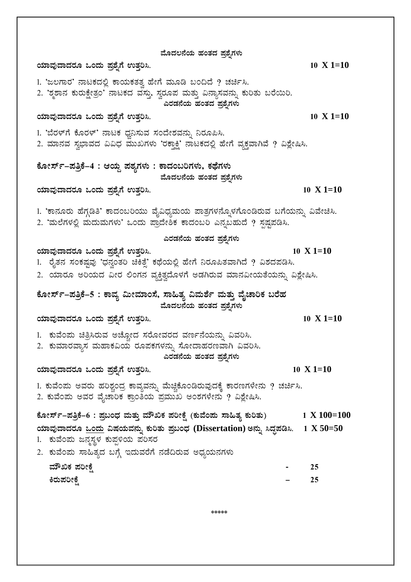ಮೊದಲನೆಯ ಹಂತದ ಪ್ರಶ್ನೆಗಳು **AiÀiÁªÀÅzÁzÀgÀÆ MAzÀÄ ¥Àæ±ÉßUÉ GvÀÛj¹. 10 X 1=10** 1. 'ಜಲಗಾರ' ನಾಟಕದಲ್ಲಿ ಕಾಯಕತತ್ವ ಹೇಗೆ ಮೂಡಿ ಬಂದಿದೆ ? ಚರ್ಚಿಸಿ. 2. 'ಶೃಶಾನ ಕುರುಕ್ಷೇತ್ರಂ' ನಾಟಕದ ವಸ್ತು ಸ್ತರೂಪ ಮತ್ತು ವಿನ್ಯಾಸವನ್ನು ಕುರಿತು ಬರೆಯಿರಿ. ಎರಡನೆಯ ಹಂತದ <u>ಪ್ರ</u>ಶೈಗಳು **AiÀiÁªÀÅzÁzÀgÀÆ MAzÀÄ ¥Àæ±ÉßUÉ GvÀÛj¹. 10 X 1=10** 1. 'ಬೆರಳ್ಗೆ ಕೊರಳ್' ನಾಟಕ ಧ್ವನಿಸುವ ಸಂದೇಶವನ್ನು ನಿರೂಪಿಸಿ. 2. ಮಾನವ ಸ್ವಭಾವದ ವಿವಿಧ ಮುಖಗಳು 'ರಕ್ಲಾಕ್ಷಿ' ನಾಟಕದಲ್ಲಿ ಹೇಗೆ ವ್ಯಕ್ತವಾಗಿವೆ ? ವಿಶ್ಲೇಷಿಸಿ. ಕೋರ್ಸ್–ಪತ್ರಿಕೆ–4 : ಆಯ್ದ ಪಠ್ಯಗಳು : ಕಾದಂಬರಿಗಳು, ಕಥೆಗಳು ಮೊದಲನೆಯ ಹಂತದ <u>ಪ್ರ</u>ಶೈಗಳು **AiÀiÁªÀÅzÁzÀgÀÆ MAzÀÄ ¥Àæ±ÉßUÉ GvÀÛj¹. 10 X 1=10** 1. 'ಕಾನೂರು ಹೆಗ್ಗಡಿತಿ' ಕಾದಂಬರಿಯು ವೈವಿಧ್ಯಮಯ ಪಾತ್ರಗಳನ್ನೊಳಗೊಂಡಿರುವ ಬಗೆಯನ್ನು ವಿವೇಚಿಸಿ. 2. 'ಮಲೆಗಳಲ್ಲಿ ಮದುಮಗಳು' ಒಂದು ಪ್ರಾದೇಶಿಕ ಕಾದಂಬರಿ ಎನ್ನಬಹುದೆ ? ಸ್ಪಷ್ಟಪಡಿಸಿ. **ಎರಡನೆಯ ಹಂತದ ಪ್ರಶೈಗಳು AiÀiÁªÀÅzÁzÀgÀÆ MAzÀÄ ¥Àæ±ÉßUÉ GvÀÛj¹. 10 X 1=10** 1. ರೈತನ ಸಂಕಷ್ಷವು 'ಧನ್ವಂತರಿ ಚಿಕಿತ್ತೆ' ಕಥೆಯಲ್ಲಿ ಹೇಗೆ ನಿರೂಪಿತವಾಗಿದೆ ? ವಿಶದಪಡಿಸಿ. 2. ಯಾರೂ ಅರಿಯದ ವೀರ ಲಿಂಗನ ವ್ಯಕ್ತಿತ್ರದೊಳಗೆ ಅಡಗಿರುವ ಮಾನವೀಯತೆಯನ್ನು ವಿಶ್ಲೇಷಿಸಿ. ಕೋರ್ಸ್–ಪತ್ರಿಕೆ–5 : ಕಾವ್ಯ ಮೀಮಾಂಸೆ, ಸಾಹಿತ್ಯ ವಿಮರ್ಶೆ ಮತ್ತು ವೈಚಾರಿಕ ಬರೆಹ ಮೊದಲನೆಯ ಹಂತದ ಪ್ರಶೈ**ಗಳು AiÀiÁªÀÅzÁzÀgÀÆ MAzÀÄ ¥Àæ±ÉßUÉ GvÀÛj¹. 10 X 1=10** 1. ಕುವೆಂಪು ಚಿತ್ರಿಸಿರುವ ಅಚ್ಚೋದ ಸರೋವರದ ವರ್ಣನೆಯನ್ನು ವಿವರಿಸಿ. 2. ಕುಮಾರವ್ಯಾಸ ಮಹಾಕವಿಯ ರೂಪಕಗಳನ್ನು ಸೋದಾಹರಣವಾಗಿ ವಿವರಿಸಿ. **ಎರಡನೆಯ ಹಂತದ ಪ್ರಶ್ನೆಗಳು AiÀiÁªÀÅzÁzÀgÀÆ MAzÀÄ ¥Àæ±ÉßUÉ GvÀÛj¹. 10 X 1=10** 1. ಕುವೆಂಪು ಅವರು ಹರಿಶ್ಚಂದ್ರ ಕಾವ್ಯವನ್ನು ಮೆಚ್ಚಿಕೊಂಡಿರುವುದಕ್ಕೆ ಕಾರಣಗಳೇನು ? ಚರ್ಚಿಸಿ. 2. ಕುವೆಂಪು ಅವರ ವೈಚಾರಿಕ ಕ್ರಾಂತಿಯ ಪ್ರಮುಖ ಅಂಶಗಳೇನು ? ವಿಶ್ಲೇಷಿಸಿ. **PÉÆÃ¸ïð-¥ÀwæPÉ-6 : ¥Àæ§AzsÀ ªÀÄvÀÄÛ ªÀiËTPÀ ¥ÀjÃPÉë (PÀĪÉA¥ÀÄ ¸Á»vÀå PÀÄjvÀÄ) 1 X 100=100 AiÀiÁªÀÅzÁzÀgÀÆ MAzÀÄ «µÀAiÀĪÀ£ÀÄß PÀÄjvÀÄ ¥Àæ§AzsÀ (Dissertation) C£ÀÄß ¹zÀÞ¥Àr¹. 1 X 50=50**  1. ಕುವೆಂಮ ಜನ್ನಸ್ಥಳ ಕುಪ್ಪಳಿಯ ಪರಿಸರ 2. ಕುವೆಂಪು ಸಾಹಿತ್ಯದ ಬಗ್ಗೆ ಇದುವರೆಗೆ ನಡೆದಿರುವ ಅಧ್ಯಯನಗಳು **ªÀiËTPÀ ¥ÀjÃPÉë - 25 QgÀÄ¥ÀjÃPÉë - 25**

\*\*\*\*\*